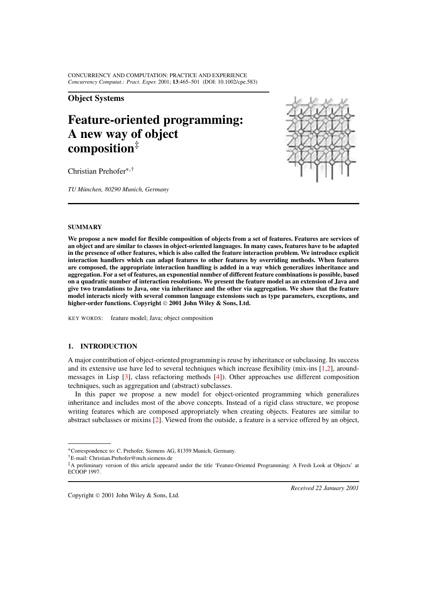CONCURRENCY AND COMPUTATION: PRACTICE AND EXPERIENCE *Concurrency Computat.: Pract. Exper.* 2001; **13**:465–501 (DOI: 10.1002/cpe.583)

**Object Systems**

# **Feature-oriented programming: A new way of object composition**‡

Christian Prehofer∗,†

*TU M¨unchen, 80290 Munich, Germany*



#### **SUMMARY**

**We propose a new model for flexible composition of objects from a set of features. Features are services of an object and are similar to classes in object-oriented languages. In many cases, features have to be adapted in the presence of other features, which is also called the feature interaction problem. We introduce explicit interaction handlers which can adapt features to other features by overriding methods. When features are composed, the appropriate interaction handling is added in a way which generalizes inheritance and aggregation. For a set of features, an exponential number of different feature combinations is possible, based on a quadratic number of interaction resolutions. We present the feature model as an extension of Java and give two translations to Java, one via inheritance and the other via aggregation. We show that the feature model interacts nicely with several common language extensions such as type parameters, exceptions, and higher-order functions. Copyright 2001 John Wiley & Sons, Ltd.**

KEY WORDS: feature model; Java; object composition

## **1. INTRODUCTION**

A major contribution of object-oriented programming is reuse by inheritance or subclassing. Its success and its extensive use have led to several techniques which increase flexibility (mix-ins  $[1,2]$  $[1,2]$  $[1,2]$ , aroundmessages in Lisp [\[3](#page-36-2)], class refactoring methods [[4\]](#page-36-1)). Other approaches use different composition techniques, such as aggregation and (abstract) subclasses.

In this paper we propose a new model for object-oriented programming which generalizes inheritance and includes most of the above concepts. Instead of a rigid class structure, we propose writing features which are composed appropriately when creating objects. Features are similar to abstract subclasses or mixins [[2\]](#page-36-0). Viewed from the outside, a feature is a service offered by an object,

<sup>∗</sup>Correspondence to: C. Prehofer, Siemens AG, 81359 Munich, Germany.

<sup>†</sup>E-mail: Christian.Prehofer@mch.siemens.de

<sup>‡</sup>A preliminary version of this article appeared under the title 'Feature-Oriented Programming: A Fresh Look at Objects' at ECOOP 1997.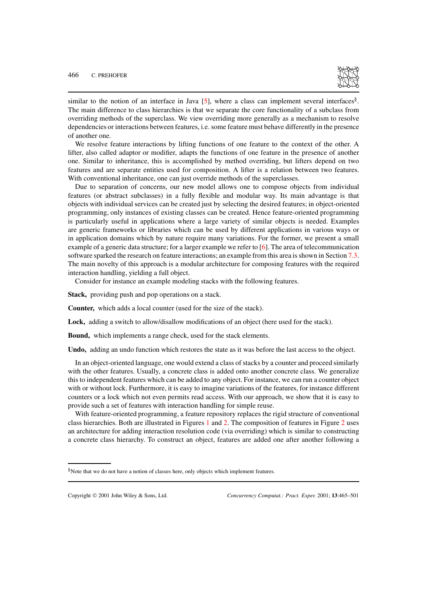

similar to the notion of an interface in Java [[5\]](#page-36-5), where a class can implement several interfaces<sup>§</sup>. The main difference to class hierarchies is that we separate the core functionality of a subclass from overriding methods of the superclass. We view overriding more generally as a mechanism to resolve dependencies or interactions between features, i.e. some feature must behave differently in the presence of another one.

We resolve feature interactions by lifting functions of one feature to the context of the other. A lifter, also called adaptor or modifier, adapts the functions of one feature in the presence of another one. Similar to inheritance, this is accomplished by method overriding, but lifters depend on two features and are separate entities used for composition. A lifter is a relation between two features. With conventional inheritance, one can just override methods of the superclasses.

Due to separation of concerns, our new model allows one to compose objects from individual features (or abstract subclasses) in a fully flexible and modular way. Its main advantage is that objects with individual services can be created just by selecting the desired features; in object-oriented programming, only instances of existing classes can be created. Hence feature-oriented programming is particularly useful in applications where a large variety of similar objects is needed. Examples are generic frameworks or libraries which can be used by different applications in various ways or in application domains which by nature require many variations. For the former, we present a small example of a generic data structure; for a larger example we refer to  $[6]$  $[6]$ . The area of telecommunication software sparked the research on feature interactions; an example from this area is shown in Section [7.3](#page-28-0). The main novelty of this approach is a modular architecture for composing features with the required interaction handling, yielding a full object.

Consider for instance an example modeling stacks with the following features.

**Stack,** providing push and pop operations on a stack.

**Counter,** which adds a local counter (used for the size of the stack).

**Lock,** adding a switch to allow/disallow modifications of an object (here used for the stack).

**Bound,** which implements a range check, used for the stack elements.

**Undo,** adding an undo function which restores the state as it was before the last access to the object.

In an object-oriented language, one would extend a class of stacks by a counter and proceed similarly with the other features. Usually, a concrete class is added onto another concrete class. We generalize this to independent features which can be added to any object. For instance, we can run a counter object with or without lock. Furthermore, it is easy to imagine variations of the features, for instance different counters or a lock which not even permits read access. With our approach, we show that it is easy to provide such a set of features with interaction handling for simple reuse.

With feature-oriented programming, a feature repository replaces the rigid structure of conventional class hierarchies. Both are illustrated in Figures [1](#page-2-0) and [2.](#page-2-1) The composition of features in Figure [2](#page-2-1) uses an architecture for adding interaction resolution code (via overriding) which is similar to constructing a concrete class hierarchy. To construct an object, features are added one after another following a

<sup>§</sup>Note that we do not have a notion of classes here, only objects which implement features.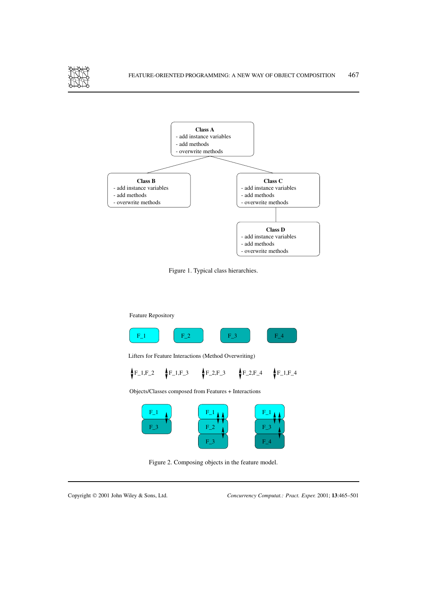

<span id="page-2-0"></span>

Figure 1. Typical class hierarchies.

<span id="page-2-1"></span>Feature Repository



Lifters for Feature Interactions (Method Overwriting)

$$
\mathbf{\oint} F_{-1}F_{-2} \qquad \mathbf{\oint} F_{-1}F_{-3} \qquad \mathbf{\oint} F_{-2}F_{-3} \qquad \mathbf{\oint} F_{-2}F_{-4} \qquad \mathbf{\oint} F_{-1}F_{-4}
$$

Objects/Classes composed from Features + Interactions



Figure 2. Composing objects in the feature model.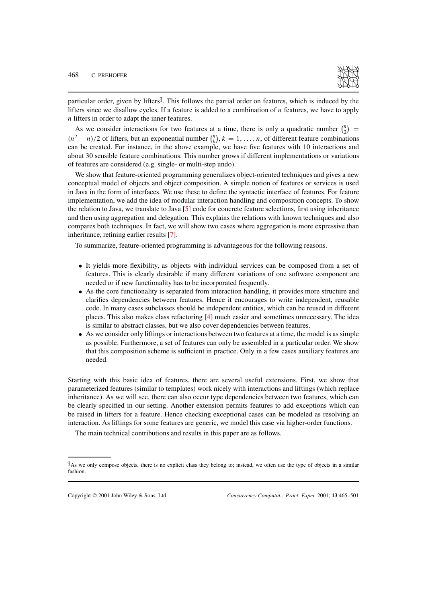

particular order, given by lifters¶. This follows the partial order on features, which is induced by the lifters since we disallow cycles. If a feature is added to a combination of *n* features, we have to apply *n* lifters in order to adapt the inner features.

As we consider interactions for two features at a time, there is only a quadratic number  $\binom{n}{2}$  $(n^2 - n)/2$  of lifters, but an exponential number  $\binom{n}{k}$ ,  $k = 1, ..., n$ , of different feature combinations can be created. For instance, in the above example, we have five features with 10 interactions and about 30 sensible feature combinations. This number grows if different implementations or variations of features are considered (e.g. single- or multi-step undo).

We show that feature-oriented programming generalizes object-oriented techniques and gives a new conceptual model of objects and object composition. A simple notion of features or services is used in Java in the form of interfaces. We use these to define the syntactic interface of features. For feature implementation, we add the idea of modular interaction handling and composition concepts. To show the relation to Java, we translate to Java  $[5]$  code for concrete feature selections, first using inheritance and then using aggregation and delegation. This explains the relations with known techniques and also compares both techniques. In fact, we will show two cases where aggregation is more expressive than inheritance, refining earlier results [\[7\]](#page-36-6).

To summarize, feature-oriented programming is advantageous for the following reasons.

- It yields more flexibility, as objects with individual services can be composed from a set of features. This is clearly desirable if many different variations of one software component are needed or if new functionality has to be incorporated frequently.
- As the core functionality is separated from interaction handling, it provides more structure and clarifies dependencies between features. Hence it encourages to write independent, reusable code. In many cases subclasses should be independent entities, which can be reused in different places. This also makes class refactoring [\[4\]](#page-36-1) much easier and sometimes unnecessary. The idea is similar to abstract classes, but we also cover dependencies between features.
- As we consider only liftings or interactions between two features at a time, the model is as simple as possible. Furthermore, a set of features can only be assembled in a particular order. We show that this composition scheme is sufficient in practice. Only in a few cases auxiliary features are needed.

Starting with this basic idea of features, there are several useful extensions. First, we show that parameterized features (similar to templates) work nicely with interactions and liftings (which replace inheritance). As we will see, there can also occur type dependencies between two features, which can be clearly specified in our setting. Another extension permits features to add exceptions which can be raised in lifters for a feature. Hence checking exceptional cases can be modeled as resolving an interaction. As liftings for some features are generic, we model this case via higher-order functions.

The main technical contributions and results in this paper are as follows.

<sup>¶</sup>As we only compose objects, there is no explicit class they belong to; instead, we often use the type of objects in a similar fashion.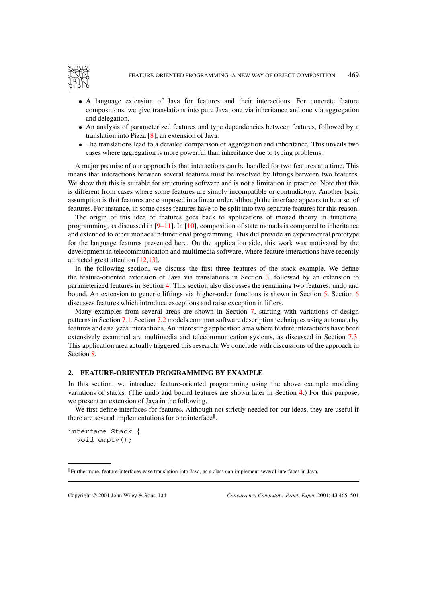- A language extension of Java for features and their interactions. For concrete feature compositions, we give translations into pure Java, one via inheritance and one via aggregation and delegation.
- An analysis of parameterized features and type dependencies between features, followed by a translation into Pizza [[8\]](#page-36-8), an extension of Java.
- The translations lead to a detailed comparison of aggregation and inheritance. This unveils two cases where aggregation is more powerful than inheritance due to typing problems.

A major premise of our approach is that interactions can be handled for two features at a time. This means that interactions between several features must be resolved by liftings between two features. We show that this is suitable for structuring software and is not a limitation in practice. Note that this is different from cases where some features are simply incompatible or contradictory. Another basic assumption is that features are composed in a linear order, although the interface appears to be a set of features. For instance, in some cases features have to be split into two separate features for this reason.

The origin of this idea of features goes back to applications of monad theory in functional programming, as discussed in  $[9-11]$ . In [\[10](#page-36-10)], composition of state monads is compared to inheritance and extended to other monads in functional programming. This did provide an experimental prototype for the language features presented here. On the application side, this work was motivated by the development in telecommunication and multimedia software, where feature interactions have recently attracted great attention [[12,](#page-36-7)[13](#page-36-11)].

In the following section, we discuss the first three features of the stack example. We define the feature-oriented extension of Java via translations in Section [3,](#page-8-0) followed by an extension to parameterized features in Section [4.](#page-15-0) This section also discusses the remaining two features, undo and bound. An extension to generic liftings via higher-order functions is shown in Section [5](#page-21-0). Section [6](#page-22-0) discusses features which introduce exceptions and raise exception in lifters.

Many examples from several areas are shown in Section [7](#page-22-1), starting with variations of design patterns in Section [7.1.](#page-23-0) Section [7.2](#page-24-0) models common software description techniques using automata by features and analyzes interactions. An interesting application area where feature interactions have been extensively examined are multimedia and telecommunication systems, as discussed in Section [7.3](#page-28-0). This application area actually triggered this research. We conclude with discussions of the approach in Section [8](#page-32-0).

## **2. FEATURE-ORIENTED PROGRAMMING BY EXAMPLE**

In this section, we introduce feature-oriented programming using the above example modeling variations of stacks. (The undo and bound features are shown later in Section [4.](#page-15-0)) For this purpose, we present an extension of Java in the following.

We first define interfaces for features. Although not strictly needed for our ideas, they are useful if there are several implementations for one interface.

interface Stack { void empty();

Furthermore, feature interfaces ease translation into Java, as a class can implement several interfaces in Java.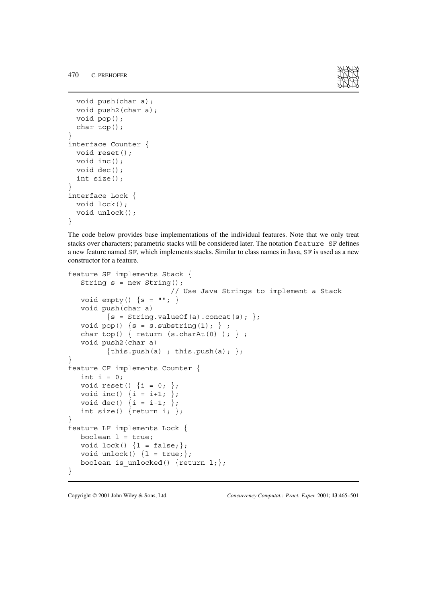

```
void push(char a);
  void push2(char a);
  void pop();
  char top();
}
interface Counter {
 void reset();
 void inc();
  void dec();
  int size();
}
interface Lock {
  void lock();
  void unlock();
}
```
The code below provides base implementations of the individual features. Note that we only treat stacks over characters; parametric stacks will be considered later. The notation feature SF defines a new feature named SF, which implements stacks. Similar to class names in Java, SF is used as a new constructor for a feature.

```
feature SF implements Stack {
   String s = new String();
                         // Use Java Strings to implement a Stack
   void empty() \{s = "",\}void push(char a)
         \{s = String.valueOf(a).concat(s); \};
   void pop() \{s = s.\text{substring}(1); \};
   char top() { return (s.\text{char}At(0)) ; } ;
   void push2(char a)
         {this.push(a); this.push(a); };
}
feature CF implements Counter {
   int i = 0;
   void reset() \{i = 0; \};
   void inc() \{i = i+1; \};
   void dec() \{i = i-1; \};
   int size() \{return i; \};
}
feature LF implements Lock {
  boolean l = true;void lock() \{1 = false\};
   void unlock() \{1 = true\};
   boolean is unlocked() \{return 1;\};
}
```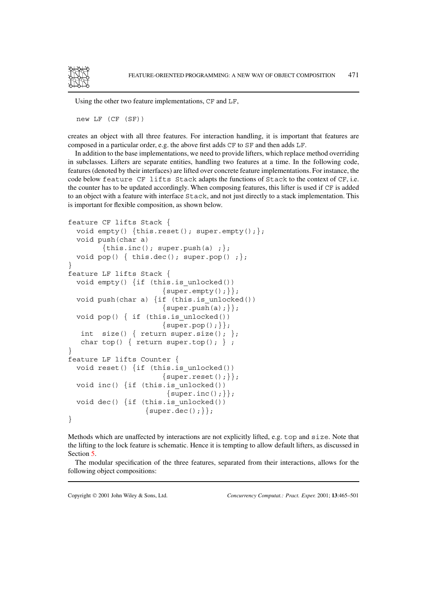

Using the other two feature implementations, CF and LF,

new LF (CF (SF))

creates an object with all three features. For interaction handling, it is important that features are composed in a particular order, e.g. the above first adds CF to SF and then adds LF.

In addition to the base implementations, we need to provide lifters, which replace method overriding in subclasses. Lifters are separate entities, handling two features at a time. In the following code, features (denoted by their interfaces) are lifted over concrete feature implementations. For instance, the code below feature CF lifts Stack adapts the functions of Stack to the context of CF, i.e. the counter has to be updated accordingly. When composing features, this lifter is used if CF is added to an object with a feature with interface Stack, and not just directly to a stack implementation. This is important for flexible composition, as shown below.

```
feature CF lifts Stack {
 void empty() \{this.\nreset(); super.empty(); };
 void push(char a)
        {this.inc(); super.push(a); };
 void pop() { this.dec(); super.pop() ; };
}
feature LF lifts Stack {
 void empty() {if (this.is unlocked())
                       \{super.empty(); \};
 void push(char a) \{if (this.is unlocked())
                       \{super.push(a); \};
 void pop() { if (this.is_unlocked())
                       \{super.pop(); \};
   int size() \{ return super.size() ; }char top() { return super.top(); };
}
feature LF lifts Counter {
 void reset() {if (this.is unlocked())
                       \{super.\nreset(); \};
 void inc() {if (this.is_unlocked())
                        \{super.inc(); \};
 void dec() {if (this.is_unlocked())
                   {super.deg();}\};}
```
Methods which are unaffected by interactions are not explicitly lifted, e.g. top and size. Note that the lifting to the lock feature is schematic. Hence it is tempting to allow default lifters, as discussed in Section [5](#page-21-0).

The modular specification of the three features, separated from their interactions, allows for the following object compositions: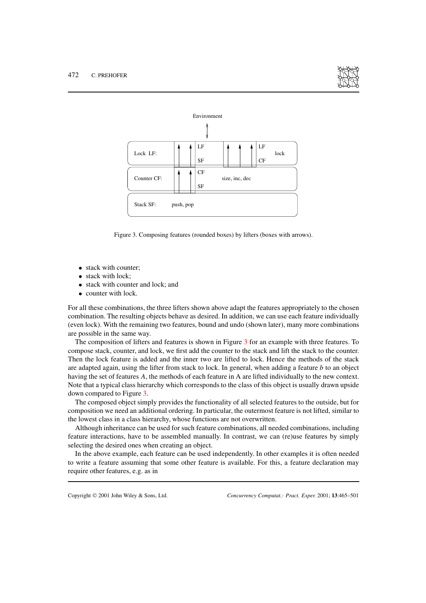

<span id="page-7-0"></span>

Figure 3. Composing features (rounded boxes) by lifters (boxes with arrows).

- stack with counter:
- stack with lock;
- stack with counter and lock; and
- counter with lock.

For all these combinations, the three lifters shown above adapt the features appropriately to the chosen combination. The resulting objects behave as desired. In addition, we can use each feature individually (even lock). With the remaining two features, bound and undo (shown later), many more combinations are possible in the same way.

The composition of lifters and features is shown in Figure [3](#page-7-0) for an example with three features. To compose stack, counter, and lock, we first add the counter to the stack and lift the stack to the counter. Then the lock feature is added and the inner two are lifted to lock. Hence the methods of the stack are adapted again, using the lifter from stack to lock. In general, when adding a feature *b* to an object having the set of features *A*, the methods of each feature in A are lifted individually to the new context. Note that a typical class hierarchy which corresponds to the class of this object is usually drawn upside down compared to Figure [3.](#page-7-0)

The composed object simply provides the functionality of all selected features to the outside, but for composition we need an additional ordering. In particular, the outermost feature is not lifted, similar to the lowest class in a class hierarchy, whose functions are not overwritten.

Although inheritance can be used for such feature combinations, all needed combinations, including feature interactions, have to be assembled manually. In contrast, we can (re)use features by simply selecting the desired ones when creating an object.

In the above example, each feature can be used independently. In other examples it is often needed to write a feature assuming that some other feature is available. For this, a feature declaration may require other features, e.g. as in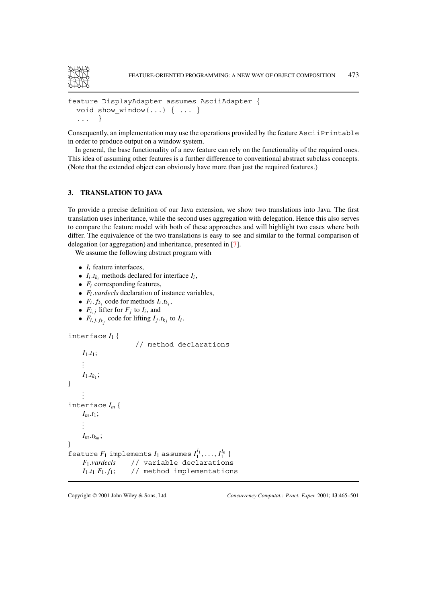

```
feature DisplayAdapter assumes AsciiAdapter {
  void show window(...) \{ ... \}... }
```
Consequently, an implementation may use the operations provided by the feature AsciiPrintable in order to produce output on a window system.

In general, the base functionality of a new feature can rely on the functionality of the required ones. This idea of assuming other features is a further difference to conventional abstract subclass concepts. (Note that the extended object can obviously have more than just the required features.)

# <span id="page-8-0"></span>**3. TRANSLATION TO JAVA**

To provide a precise definition of our Java extension, we show two translations into Java. The first translation uses inheritance, while the second uses aggregation with delegation. Hence this also serves to compare the feature model with both of these approaches and will highlight two cases where both differ. The equivalence of the two translations is easy to see and similar to the formal comparison of delegation (or aggregation) and inheritance, presented in [[7\]](#page-36-6).

We assume the following abstract program with

- $\bullet$   $I_i$  feature interfaces,
- $I_i.t_{k_i}$  methods declared for interface  $I_i$ ,
- $F_i$  corresponding features,
- *Fi.vardecls* declaration of instance variables,
- $F_i$ . $f_{k_i}$  code for methods  $I_i$ . $t_{k_i}$ ,
- $F_{i,j}$  lifter for  $F_j$  to  $I_i$ , and
- $F_{i,j,f_{k_j}}$  code for lifting  $I_j.t_{k_j}$  to  $I_i$ .

```
interface I_1 {
```

```
// method declarations
    I1.t1;
     .
     .
     .
    I_1.t_{k_1};
}
     .
     .
     .
interface Im {
    Im.t1;
     .
     .
     .
    I_m.t_{k_m};
}
feature F_1 implements I_1 assumes I_1^{l_1}, \ldots, I_1^{l_n} {
    F1.vardecls // variable declarations
    I1.t1 F1.f1; // method implementations
```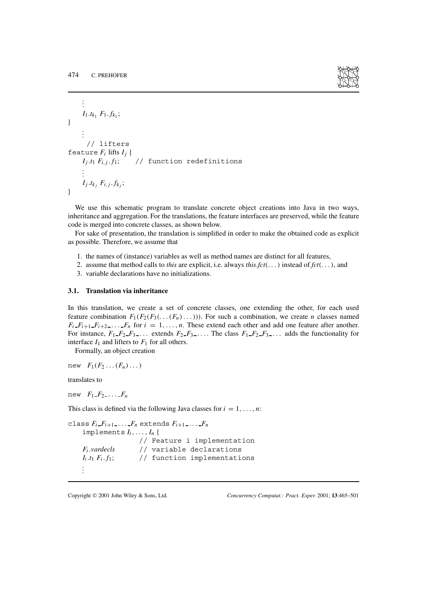

```
.
      .
      .
     I_1.t_{k_1} F_1.f_{k_1};}
      .
      .
      .
       // lifters
feature F_i lifts I_j {
      I_j I_1 F_{i,j} f_1; // function redefinitions
      .
      .
      .
     I_j .t<sub>kj</sub> F_{i,j} .f<sub>kj</sub>;
}
```
We use this schematic program to translate concrete object creations into Java in two ways, inheritance and aggregation. For the translations, the feature interfaces are preserved, while the feature code is merged into concrete classes, as shown below.

For sake of presentation, the translation is simplified in order to make the obtained code as explicit as possible. Therefore, we assume that

- 1. the names of (instance) variables as well as method names are distinct for all features,
- 2. assume that method calls to *this* are explicit, i.e. always *this.fct(. . . )* instead of *fct(. . . )*, and
- 3. variable declarations have no initializations.

#### **3.1. Translation via inheritance**

In this translation, we create a set of concrete classes, one extending the other, for each used feature combination  $F_1(F_2(F_3(\ldots(F_n)\ldots)))$ . For such a combination, we create *n* classes named  $F_i$ <sub>-</sub> $F_{i+1}$ <sub>- $F_{i+2}$ - $\ldots$ - $F_n$  for  $i = 1, \ldots, n$ . These extend each other and add one feature after another.</sub> For instance,  $F_1$   $F_2$   $F_3$   $\ldots$  extends  $F_2$   $F_3$   $\ldots$  The class  $F_1$   $F_2$   $F_3$   $\ldots$  adds the functionality for interface  $I_1$  and lifters to  $F_1$  for all others.

Formally, an object creation

new  $F_1(F_2... (F_n)...)$ 

translates to

new  $F_1 \_ F_2 \_ \ldots \_ F_n$ 

This class is defined via the following Java classes for  $i = 1, \ldots, n$ :

```
class F_i<sub>-</sub>F_{i+1}-\dots-F_n extends F_{i+1}-\dots-F_nimplements Ii,...,In {
                   // Feature i implementation
    Fi.vardecls // variable declarations
    Ii.t1 Fi.f1; // function implementations
    .
.
.
```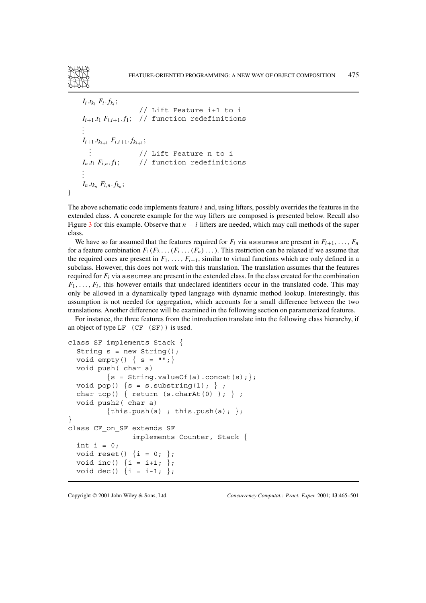

}

```
I_i.t_{k_i} F_i.f_{k_i};
                     // Lift Feature i+1 to i
I_{i+1}.t_1 F_{i,i+1}.f_1; // function redefinitions
.
.
.
I_{i+1}.t_{k_{i+1}} F_{i,i+1}.f_{k_{i+1}};.
   .
                     . // Lift Feature n to i
In.t1 Fi,n.f1; // function redefinitions
.
.
.
I_n.t_{k_n} F_{i,n}.f_{k_n};
```
The above schematic code implements feature *i* and, using lifters, possibly overrides the features in the extended class. A concrete example for the way lifters are composed is presented below. Recall also Figure [3](#page-7-0) for this example. Observe that  $n - i$  lifters are needed, which may call methods of the super class.

We have so far assumed that the features required for  $F_i$  via assumes are present in  $F_{i+1}, \ldots, F_n$ for a feature combination  $F_1(F_2 \ldots (F_i \ldots (F_n) \ldots)$ . This restriction can be relaxed if we assume that the required ones are present in  $F_1, \ldots, F_{i-1}$ , similar to virtual functions which are only defined in a subclass. However, this does not work with this translation. The translation assumes that the features required for  $F_i$  via assumes are present in the extended class. In the class created for the combination  $F_1, \ldots, F_i$ , this however entails that undeclared identifiers occur in the translated code. This may only be allowed in a dynamically typed language with dynamic method lookup. Interestingly, this assumption is not needed for aggregation, which accounts for a small difference between the two translations. Another difference will be examined in the following section on parameterized features.

For instance, the three features from the introduction translate into the following class hierarchy, if an object of type LF (CF (SF)) is used.

```
class SF implements Stack {
  String s = new String();
  void empty() \{ s = ""; \}void push( char a)
         \{s = String.valueOf(a) . concat(s); \};
  void pop() \{s = s.substring(1); \};
  char top() \{ return (s.\text{char}At(0) ); \};
  void push2( char a)
         {this.push(a) ; this.push(a); };
}
class CF_on_SF extends SF
                implements Counter, Stack {
  int i = 0;
  void reset() \{i = 0; \};
  void inc() {i = i+1; };
  void dec() \{i = i-1; \};
```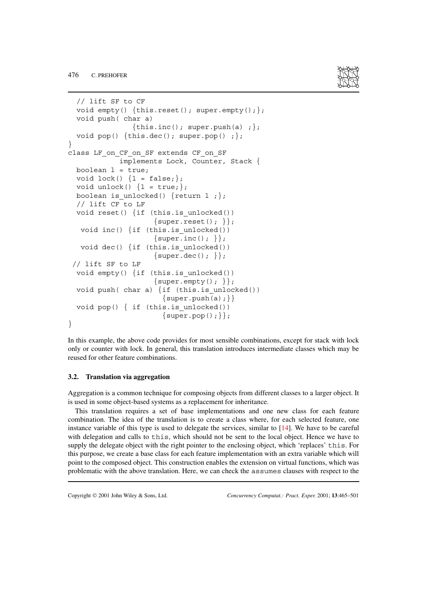

```
// lift SF to CF
  void empty() \{this.\nreset(); super.\nempty(); \};void push( char a)
                {this.inc(); super.push(a); };
  void pop() {this.dec(); super.pop();};
}
class LF_on_CF_on_SF extends CF_on_SF
            implements Lock, Counter, Stack {
  boolean l = true;void lock() \{1 = false\};
  void unlock() \{1 = true\};
  boolean is unlocked() \{return 1 ; \};
  // lift CF to LF
  void reset() \{if (this.is unlocked())\}\{super.\nreset(); \};
   void inc() {if (this.is unlocked())
                     \{super.inc(); \};
   void dec() {if (this.is unlocked())
                     \{super.dec(); \};
 // lift SF to LF
  void empty() \{if (this. is unlocked())
                     \{super.empty(); \};
  void push( char a) {if (this.is_unlocked())
                       \{super.push(a); \}void pop() \{ if (this.is unlocked())\{super.pop() ; \};
}
```
In this example, the above code provides for most sensible combinations, except for stack with lock only or counter with lock. In general, this translation introduces intermediate classes which may be reused for other feature combinations.

## **3.2. Translation via aggregation**

Aggregation is a common technique for composing objects from different classes to a larger object. It is used in some object-based systems as a replacement for inheritance.

This translation requires a set of base implementations and one new class for each feature combination. The idea of the translation is to create a class where, for each selected feature, one instance variable of this type is used to delegate the services, similar to [[14\]](#page-36-12). We have to be careful with delegation and calls to this, which should not be sent to the local object. Hence we have to supply the delegate object with the right pointer to the enclosing object, which 'replaces' this. For this purpose, we create a base class for each feature implementation with an extra variable which will point to the composed object. This construction enables the extension on virtual functions, which was problematic with the above translation. Here, we can check the assumes clauses with respect to the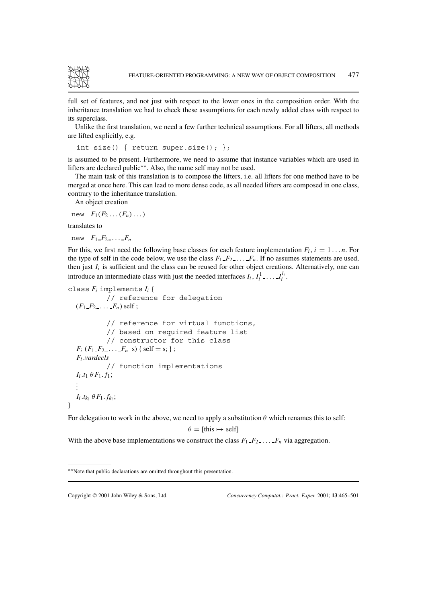

full set of features, and not just with respect to the lower ones in the composition order. With the inheritance translation we had to check these assumptions for each newly added class with respect to its superclass.

Unlike the first translation, we need a few further technical assumptions. For all lifters, all methods are lifted explicitly, e.g.

int size() { return super.size(); };

is assumed to be present. Furthermore, we need to assume that instance variables which are used in lifters are declared public∗∗. Also, the name self may not be used.

The main task of this translation is to compose the lifters, i.e. all lifters for one method have to be merged at once here. This can lead to more dense code, as all needed lifters are composed in one class, contrary to the inheritance translation.

An object creation

new  $F_1(F_2 \ldots (F_n) \ldots)$ 

translates to

new  $F_1 \_ F_2 \_ \ldots \_ F_n$ 

For this, we first need the following base classes for each feature implementation  $F_i$ ,  $i = 1...n$ . For the type of self in the code below, we use the class  $F_1$ <sub> $F_2$ </sub> $\ldots$  $F_n$ . If no assumes statements are used, then just  $I_i$  is sufficient and the class can be reused for other object creations. Alternatively, one can introduce an intermediate class with just the needed interfaces  $I_i$ ,  $I_i^1$   $\ldots$   $I_i^{l_i}$ .

```
class Fi implements Ii {
             // reference for delegation
  (F_1 \_ F_2 \_ \ldots \_ F_n) self;
             // reference for virtual functions,
             // based on required feature list
             // constructor for this class
  F_i (F_1<sub>-F2</sub><sub>-...-F<sub>n</sub></sub> s) { self = s; };
  Fi.vardecls
             // function implementations
  I_i.t_1 \theta F_1.f_1;.
   .
   .
  I_i.t<sub>ki</sub> \theta F_1.f<sub>ki</sub>;
}
```
For delegation to work in the above, we need to apply a substitution  $\theta$  which renames this to self:

$$
\theta = [\text{this} \mapsto \text{self}]
$$

With the above base implementations we construct the class  $F_1$ <sub> $F_2$ </sub> $\ldots$  $F_n$  via aggregation.

<sup>∗∗</sup>Note that public declarations are omitted throughout this presentation.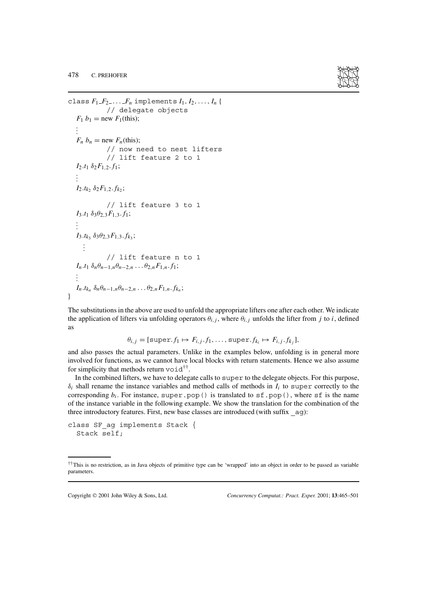

```
class F_1<sub>F_2</sub>\ldotsF_n implements I_1, I_2, \ldots, I_n {
                // delegate objects
   F_1 b_1 = \text{new } F_1(\text{this});.
   .
   .
   F_n b_n = new F_n(this);
                 // now need to nest lifters
                // lift feature 2 to 1
   I2.t1 δ2F1,2.f1;
   .
   .
   .
   I_2.t_{k_2} \delta_2 F_{1,2} \cdot f_{k_2};
                 // lift feature 3 to 1
   I3.t1 δ3θ2,3F1,3.f1;
   .
   .
   .
   I_3. t_{k_3} \, \delta_3 \theta_{2,3} F_{1,3} f_{k_3};.
       .
       .
                // lift feature n to 1
   In.t1 δnθn−1,nθn−2,n ...θ2,nF1,n.f1;
   .
   .
   .
   I_n.t_{k_n} \delta_n \theta_{n-1,n} \theta_{n-2,n} \ldots \theta_{2,n} F_{1,n}.f_{k_n};}
```
The substitutions in the above are used to unfold the appropriate lifters one after each other. We indicate the application of lifters via unfolding operators  $\theta_{i,j}$ , where  $\theta_{i,j}$  unfolds the lifter from *j* to *i*, defined as

 $\theta_{i,j} = [\text{super}.f_1 \mapsto F_{i,j}.f_1,\ldots,\text{super}.f_{k_i} \mapsto F_{i,j}.f_{k_j}],$ 

and also passes the actual parameters. Unlike in the examples below, unfolding is in general more involved for functions, as we cannot have local blocks with return statements. Hence we also assume for simplicity that methods return  $\text{void}^{\dagger\dagger}$ .

In the combined lifters, we have to delegate calls to super to the delegate objects. For this purpose,  $\delta_i$  shall rename the instance variables and method calls of methods in  $I_i$  to super correctly to the corresponding  $b_i$ . For instance, super.pop() is translated to  $sf.pop($ ), where  $sf$  is the name of the instance variable in the following example. We show the translation for the combination of the three introductory features. First, new base classes are introduced (with suffix \_ag):

```
class SF_ag implements Stack {
  Stack self;
```
<sup>††</sup>This is no restriction, as in Java objects of primitive type can be 'wrapped' into an object in order to be passed as variable parameters.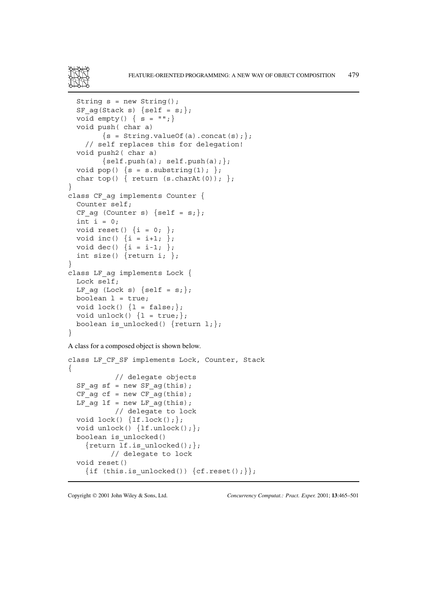

```
String s = new String();
  SF ag(Stack s) \{self = s; \};void empty() \{ s = ""; \}void push( char a)
        {s = String.valueOf(a).concat(s)};// self replaces this for delegation!
  void push2( char a)
        {self.push(a)}; self.push(a);};
  void pop() \{s = s.\text{substring}(1); \};
  char top() { return (s.\text{charAt}(0)); };
}
class CF_ag implements Counter {
  Counter self;
  CF ag (Counter s) \{self = s; \};int i = 0;
  void reset() \{i = 0; \};
  void inc() {i = i+1; };
  void dec() \{i = i-1; \};
  int size() \{return i; \};
}
class LF_ag implements Lock {
  Lock self;
  LF_ag (Lock s) \{self = s; \};
  boolean l = true;void lock() \{1 = false\};
  void unlock() \{1 = true;\}boolean is_unlocked() {return l;};
}
A class for a composed object is shown below.
class LF CF SF implements Lock, Counter, Stack
{
            // delegate objects
  SF ag sf = new SF ag(this);
  CF\_ag cf = new CF\_ag(this);LF ag lf = new LF ag(this);// delegate to lock
  void lock() \{If.close(); };
  void unlock() \{ \text{lf.unlock}() ; \};
  boolean is_unlocked()
    {return lf.is unlocked(); };
           // delegate to lock
  void reset()
    {if (this.is unlocked()) {cf.reset();}};
```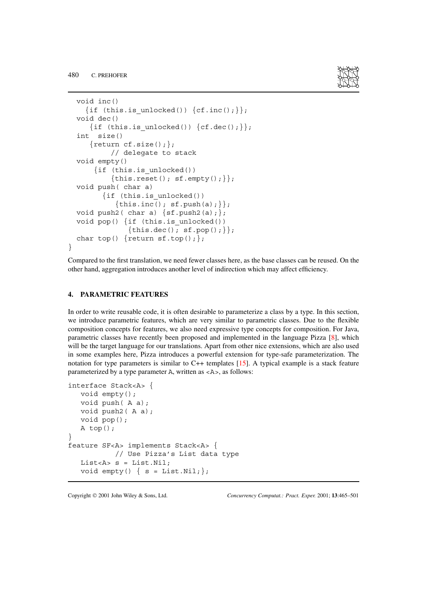

```
void inc()
    {if (this.is unlocked()) {cf.inc();}};
 void dec()
     {if (this.is_unlocked()) {cf. dec(); } ;
  int size()
     {return cf.size(); };
           // delegate to stack
  void empty()
      \{if (this.is unlockey())\}\{\text{this.reset}(); sf.empty(); } };
  void push( char a)
        {if (this.is_unlocked())
            \{\text{this.inc}(); \text{sf.push}(a); \};
  void push2( char a) \{sf.push2(a);};
  void pop() {if (this.is_unlocked())
               {this.dec(); sf.pop();}char top() \{return sf.top() ; \};
}
```
Compared to the first translation, we need fewer classes here, as the base classes can be reused. On the other hand, aggregation introduces another level of indirection which may affect efficiency.

## <span id="page-15-0"></span>**4. PARAMETRIC FEATURES**

In order to write reusable code, it is often desirable to parameterize a class by a type. In this section, we introduce parametric features, which are very similar to parametric classes. Due to the flexible composition concepts for features, we also need expressive type concepts for composition. For Java, parametric classes have recently been proposed and implemented in the language Pizza [\[8\]](#page-36-8), which will be the target language for our translations. Apart from other nice extensions, which are also used in some examples here, Pizza introduces a powerful extension for type-safe parameterization. The notation for type parameters is similar to  $C++$  templates  $[15]$ . A typical example is a stack feature parameterized by a type parameter A, written as <A>, as follows:

```
interface Stack<A> {
  void empty();
  void push( A a);
  void push2( A a);
  void pop();
  A top();
}
feature SF<A> implements Stack<A> {
           // Use Pizza's List data type
  List<A> s = List.Nil;void empty() \{ s = List.Nil; \};
```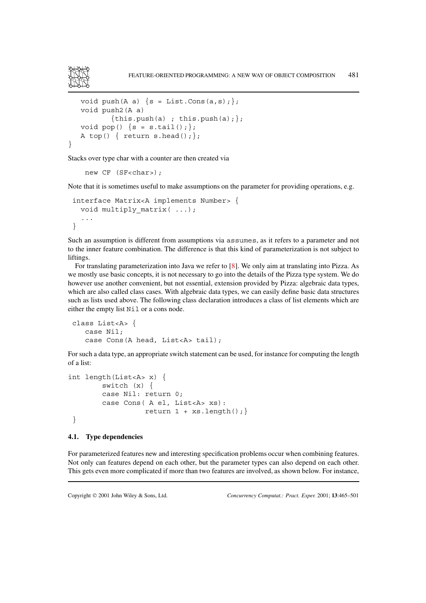

```
void push(A a) \{s = List.Cons(a,s); \};
  void push2(A a)
          {this.push(a) ; this.push(a);};
  void pop() \{s = s.tail();\};A top() { return s.head(); };
}
```
Stacks over type char with a counter are then created via

```
new CF (SF<char>);
```
Note that it is sometimes useful to make assumptions on the parameter for providing operations, e.g.

```
interface Matrix<A implements Number> {
 void multiply matrix( ...);
  ...
}
```
Such an assumption is different from assumptions via assumes, as it refers to a parameter and not to the inner feature combination. The difference is that this kind of parameterization is not subject to liftings.

For translating parameterization into Java we refer to [\[8\]](#page-36-8). We only aim at translating into Pizza. As we mostly use basic concepts, it is not necessary to go into the details of the Pizza type system. We do however use another convenient, but not essential, extension provided by Pizza: algebraic data types, which are also called class cases. With algebraic data types, we can easily define basic data structures such as lists used above. The following class declaration introduces a class of list elements which are either the empty list Nil or a cons node.

```
class List<A> {
   case Nil;
   case Cons(A head, List<A> tail);
```
For such a data type, an appropriate switch statement can be used, for instance for computing the length of a list:

```
int length(List<A> x) {
        switch (x) {
        case Nil: return 0;
        case Cons( A el, List<A> xs):
                  return 1 + xs.length();
 }
```
## **4.1. Type dependencies**

For parameterized features new and interesting specification problems occur when combining features. Not only can features depend on each other, but the parameter types can also depend on each other. This gets even more complicated if more than two features are involved, as shown below. For instance,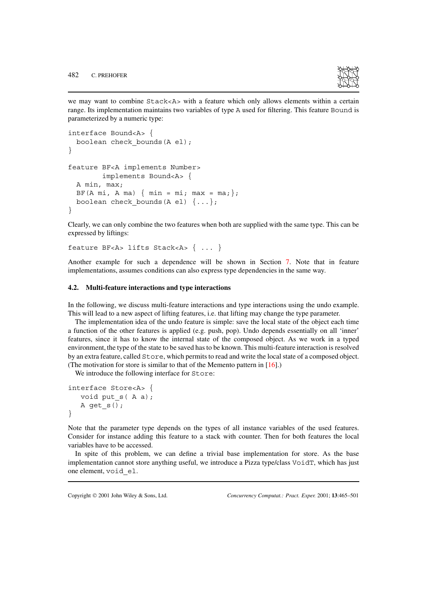

we may want to combine  $Stack < A$ > with a feature which only allows elements within a certain range. Its implementation maintains two variables of type A used for filtering. This feature Bound is parameterized by a numeric type:

```
interface Bound<A> {
  boolean check_bounds(A el);
}
feature BF<A implements Number>
        implements Bound<A> {
  A min, max;
  BF(A mi, A ma) \{ \min = mi; \max = ma; \};boolean check bounds(A el) \{... \};
}
```
Clearly, we can only combine the two features when both are supplied with the same type. This can be expressed by liftings:

feature BF<A> lifts Stack<A> { ... }

Another example for such a dependence will be shown in Section [7](#page-22-1). Note that in feature implementations, assumes conditions can also express type dependencies in the same way.

#### **4.2. Multi-feature interactions and type interactions**

In the following, we discuss multi-feature interactions and type interactions using the undo example. This will lead to a new aspect of lifting features, i.e. that lifting may change the type parameter.

The implementation idea of the undo feature is simple: save the local state of the object each time a function of the other features is applied (e.g. push, pop). Undo depends essentially on all 'inner' features, since it has to know the internal state of the composed object. As we work in a typed environment, the type of the state to be saved has to be known. This multi-feature interaction is resolved by an extra feature, called Store, which permits to read and write the local state of a composed object. (The motivation for store is similar to that of the Memento pattern in [\[16](#page-36-14)].)

We introduce the following interface for Store:

```
interface Store<A> {
  void put s(A a);
  A get s();
}
```
Note that the parameter type depends on the types of all instance variables of the used features. Consider for instance adding this feature to a stack with counter. Then for both features the local variables have to be accessed.

In spite of this problem, we can define a trivial base implementation for store. As the base implementation cannot store anything useful, we introduce a Pizza type/class VoidT, which has just one element, void\_el.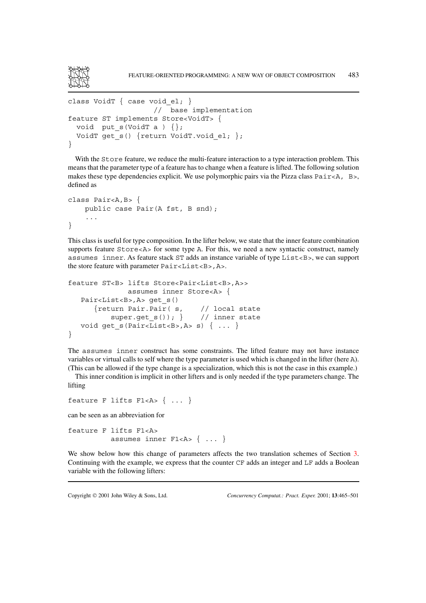

```
class VoidT { case void el; }
                    // base implementation
feature ST implements Store<VoidT> {
  void put\_s(VoidT a ) \});
  VoidT get_s() {return VoidT.void_el; };
}
```
With the Store feature, we reduce the multi-feature interaction to a type interaction problem. This means that the parameter type of a feature has to change when a feature is lifted. The following solution makes these type dependencies explicit. We use polymorphic pairs via the Pizza class Pair $\lt A$ , B>, defined as

```
class Pair<A,B> {
    public case Pair(A fst, B snd);
    ...
}
```
This class is useful for type composition. In the lifter below, we state that the inner feature combination supports feature Store<A> for some type A. For this, we need a new syntactic construct, namely assumes inner. As feature stack ST adds an instance variable of type List<B>, we can support the store feature with parameter  $Pair < List < B >$ ,  $A >$ .

```
feature ST<B> lifts Store<Pair<List<B>,A>>
             assumes inner Store<A> {
  Pair<List<B>,A> get s()
      {return Pair.Pair( s, // local state
          super.get s(); } // inner state
  void get s(Pair < List < B >, A > s) { ... }
}
```
The assumes inner construct has some constraints. The lifted feature may not have instance variables or virtual calls to self where the type parameter is used which is changed in the lifter (here A). (This can be allowed if the type change is a specialization, which this is not the case in this example.)

This inner condition is implicit in other lifters and is only needed if the type parameters change. The lifting

```
feature F lifts F1<A> { ... }
can be seen as an abbreviation for
feature F lifts F1<A>
```

```
assumes inner F1<A> { ... }
```
We show below how this change of parameters affects the two translation schemes of Section [3.](#page-8-0) Continuing with the example, we express that the counter CF adds an integer and LF adds a Boolean variable with the following lifters: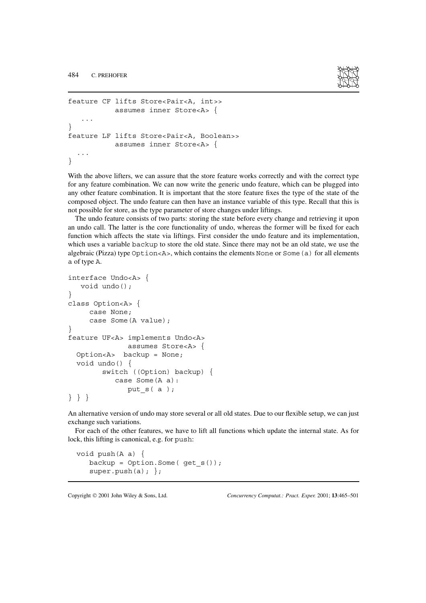

```
feature CF lifts Store<Pair<A, int>>
           assumes inner Store<A> {
   ...
}
feature LF lifts Store<Pair<A, Boolean>>
           assumes inner Store<A> {
  ...
}
```
With the above lifters, we can assure that the store feature works correctly and with the correct type for any feature combination. We can now write the generic undo feature, which can be plugged into any other feature combination. It is important that the store feature fixes the type of the state of the composed object. The undo feature can then have an instance variable of this type. Recall that this is not possible for store, as the type parameter of store changes under liftings.

The undo feature consists of two parts: storing the state before every change and retrieving it upon an undo call. The latter is the core functionality of undo, whereas the former will be fixed for each function which affects the state via liftings. First consider the undo feature and its implementation, which uses a variable backup to store the old state. Since there may not be an old state, we use the algebraic (Pizza) type  $\text{Option}\< A\>$ , which contains the elements None or Some (a) for all elements a of type A.

```
interface Undo<A> {
   void undo();
}
class Option<A> {
     case None;
     case Some(A value);
}
feature UF<A> implements Undo<A>
              assumes Store<A> {
 Option<A> backup = None;
  void undo() {
        switch ((Option) backup) {
           case Some(A a):
              put s( a );
}}}
```
An alternative version of undo may store several or all old states. Due to our flexible setup, we can just exchange such variations.

For each of the other features, we have to lift all functions which update the internal state. As for lock, this lifting is canonical, e.g. for push:

void push(A a) { backup = Option. Some  $(qet s())$ ;  $super.push(a);$ };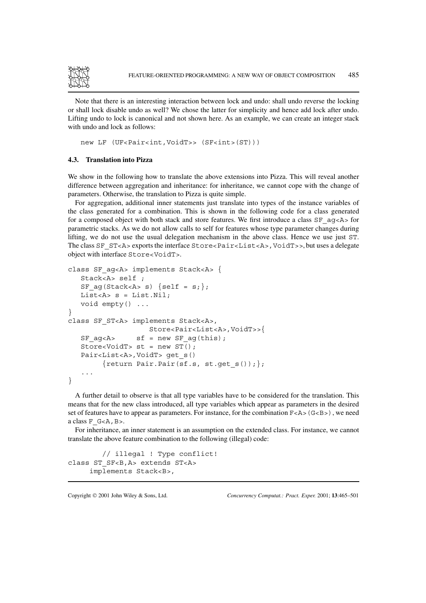

Note that there is an interesting interaction between lock and undo: shall undo reverse the locking or shall lock disable undo as well? We chose the latter for simplicity and hence add lock after undo. Lifting undo to lock is canonical and not shown here. As an example, we can create an integer stack with undo and lock as follows:

new LF (UF<Pair<int,VoidT>> (SF<int>(ST)))

#### **4.3. Translation into Pizza**

We show in the following how to translate the above extensions into Pizza. This will reveal another difference between aggregation and inheritance: for inheritance, we cannot cope with the change of parameters. Otherwise, the translation to Pizza is quite simple.

For aggregation, additional inner statements just translate into types of the instance variables of the class generated for a combination. This is shown in the following code for a class generated for a composed object with both stack and store features. We first introduce a class  $SF$  ag<A> for parametric stacks. As we do not allow calls to self for features whose type parameter changes during lifting, we do not use the usual delegation mechanism in the above class. Hence we use just ST. The class SF\_ST<A> exports the interface Store<Pair<List<A>, VoidT>>, but uses a delegate object with interface Store<VoidT>.

```
class SF_ag<A> implements Stack<A> {
  Stack<A> self ;
  SF ag(Stack<A> s) {self = s;};
  List<A> s = List.Nil;void empty() ...
}
class SF_ST<A> implements Stack<A>,
                   Store<Pair<List<A>,VoidT>>{
  SF ag<A> sf = new SF ag(this);
   Store<VoidT> st = new ST();
  Pair<List<A>,VoidT> get s()
        {return Pair.Pair(sf.s, st.get s());};
   ...
}
```
A further detail to observe is that all type variables have to be considered for the translation. This means that for the new class introduced, all type variables which appear as parameters in the desired set of features have to appear as parameters. For instance, for the combination  $F < A > (G < B >)$ , we need a class F\_G<A,B>.

For inheritance, an inner statement is an assumption on the extended class. For instance, we cannot translate the above feature combination to the following (illegal) code:

// illegal ! Type conflict! class ST\_SF<B,A> extends ST<A> implements Stack<B>,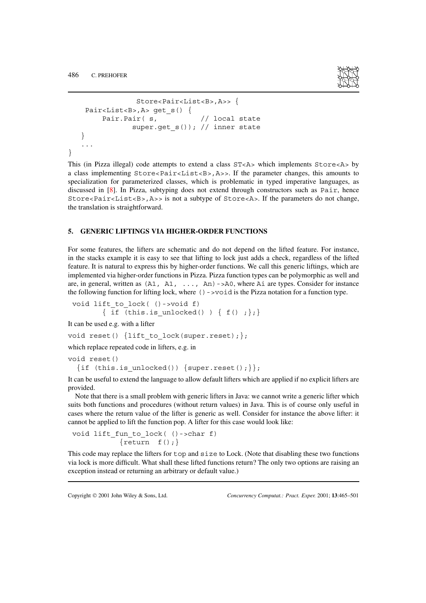

```
Store<Pair<List<B>,A>> {
    Pair<List<B>, A> qet s() {
        Pair.Pair( s, \frac{1}{2} // local state
                super.get_s()); // inner state
   }
   ...
}
```
This (in Pizza illegal) code attempts to extend a class  $ST < A$  which implements  $Store < A$  by a class implementing  $Store < Pair < List < B$ ,  $A$ >>. If the parameter changes, this amounts to specialization for parameterized classes, which is problematic in typed imperative languages, as discussed in [[8\]](#page-36-8). In Pizza, subtyping does not extend through constructors such as Pair, hence Store<Pair<List<B>, A>> is not a subtype of Store<A>. If the parameters do not change, the translation is straightforward.

## <span id="page-21-0"></span>**5. GENERIC LIFTINGS VIA HIGHER-ORDER FUNCTIONS**

For some features, the lifters are schematic and do not depend on the lifted feature. For instance, in the stacks example it is easy to see that lifting to lock just adds a check, regardless of the lifted feature. It is natural to express this by higher-order functions. We call this generic liftings, which are implemented via higher-order functions in Pizza. Pizza function types can be polymorphic as well and are, in general, written as  $(A1, A1, \ldots, An)$  ->A0, where Ai are types. Consider for instance the following function for lifting lock, where () - >void is the Pizza notation for a function type.

```
void lift_to_lock( ()->void f)
       { if (this.is unlocked() ) { f() ; };}
```
It can be used e.g. with a lifter

```
void reset() {lift to lock(super.reset);};
```
which replace repeated code in lifters, e.g. in

```
void reset()
  {if (this.is unlocked()) {super.reset();}};
```
It can be useful to extend the language to allow default lifters which are applied if no explicit lifters are provided.

Note that there is a small problem with generic lifters in Java: we cannot write a generic lifter which suits both functions and procedures (without return values) in Java. This is of course only useful in cases where the return value of the lifter is generic as well. Consider for instance the above lifter: it cannot be applied to lift the function pop. A lifter for this case would look like:

void lift\_fun\_to\_lock( ()->char f)  $\{return f();\}$ 

This code may replace the lifters for top and size to Lock. (Note that disabling these two functions via lock is more difficult. What shall these lifted functions return? The only two options are raising an exception instead or returning an arbitrary or default value.)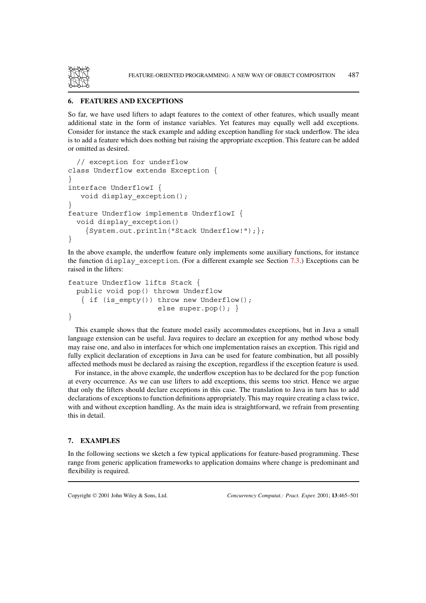

# <span id="page-22-0"></span>**6. FEATURES AND EXCEPTIONS**

So far, we have used lifters to adapt features to the context of other features, which usually meant additional state in the form of instance variables. Yet features may equally well add exceptions. Consider for instance the stack example and adding exception handling for stack underflow. The idea is to add a feature which does nothing but raising the appropriate exception. This feature can be added or omitted as desired.

```
// exception for underflow
class Underflow extends Exception {
}
interface UnderflowI {
   void display exception();
}
feature Underflow implements UnderflowI {
  void display_exception()
    {System.out.println("Stack Underflow!");};
}
```
In the above example, the underflow feature only implements some auxiliary functions, for instance the function display exception. (For a different example see Section [7.3](#page-28-0).) Exceptions can be raised in the lifters:

```
feature Underflow lifts Stack {
 public void pop() throws Underflow
   \{ if (is empty()) then throw new Underflow();
                      else super.pop(); }
}
```
This example shows that the feature model easily accommodates exceptions, but in Java a small language extension can be useful. Java requires to declare an exception for any method whose body may raise one, and also in interfaces for which one implementation raises an exception. This rigid and fully explicit declaration of exceptions in Java can be used for feature combination, but all possibly affected methods must be declared as raising the exception, regardless if the exception feature is used.

For instance, in the above example, the underflow exception has to be declared for the pop function at every occurrence. As we can use lifters to add exceptions, this seems too strict. Hence we argue that only the lifters should declare exceptions in this case. The translation to Java in turn has to add declarations of exceptions to function definitions appropriately. This may require creating a class twice, with and without exception handling. As the main idea is straightforward, we refrain from presenting this in detail.

## <span id="page-22-1"></span>**7. EXAMPLES**

In the following sections we sketch a few typical applications for feature-based programming. These range from generic application frameworks to application domains where change is predominant and flexibility is required.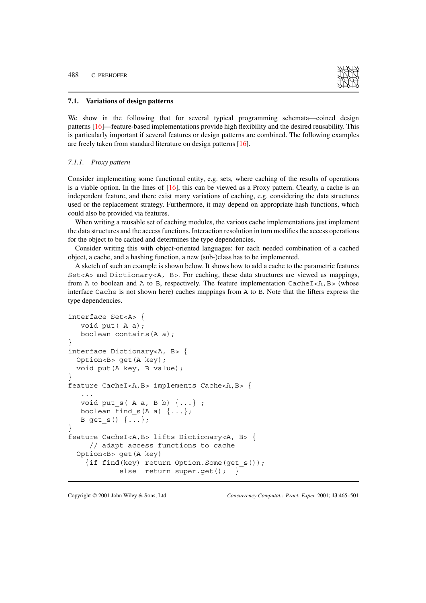

#### <span id="page-23-0"></span>**7.1. Variations of design patterns**

We show in the following that for several typical programming schemata—coined design patterns [\[16](#page-36-14)]—feature-based implementations provide high flexibility and the desired reusability. This is particularly important if several features or design patterns are combined. The following examples are freely taken from standard literature on design patterns [\[16](#page-36-14)].

#### *7.1.1. Proxy pattern*

Consider implementing some functional entity, e.g. sets, where caching of the results of operations is a viable option. In the lines of  $[16]$  $[16]$ , this can be viewed as a Proxy pattern. Clearly, a cache is an independent feature, and there exist many variations of caching, e.g. considering the data structures used or the replacement strategy. Furthermore, it may depend on appropriate hash functions, which could also be provided via features.

When writing a reusable set of caching modules, the various cache implementations just implement the data structures and the access functions. Interaction resolution in turn modifies the access operations for the object to be cached and determines the type dependencies.

Consider writing this with object-oriented languages: for each needed combination of a cached object, a cache, and a hashing function, a new (sub-)class has to be implemented.

A sketch of such an example is shown below. It shows how to add a cache to the parametric features Set<A> and Dictionary<A, B>. For caching, these data structures are viewed as mappings, from A to boolean and A to B, respectively. The feature implementation  $CacheI < A$ , B> (whose interface Cache is not shown here) caches mappings from A to B. Note that the lifters express the type dependencies.

```
interface Set<A> {
  void put( A a);
  boolean contains(A a);
}
interface Dictionary<A, B> {
 Option<B> get(A key);
  void put(A key, B value);
}
feature CacheI<A,B> implements Cache<A,B> {
   ...
  void put s(A a, B b) \{... \};
  boolean find s(A a) \{ \ldots \};
  B get s() \{ \ldots \};
}
feature CacheI<A,B> lifts Dictionary<A, B> {
     // adapt access functions to cache
  Option<B> get(A key)
    {if find(key) return Option.Some(get_s());
            else return super.get(); }
```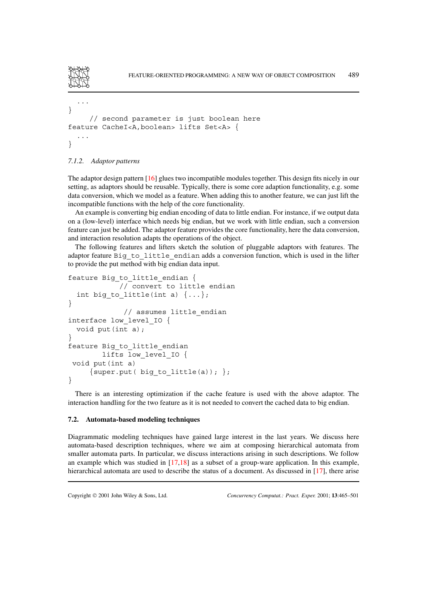

```
...
}
     // second parameter is just boolean here
feature CacheI<A,boolean> lifts Set<A> {
  ...
}
```
## *7.1.2. Adaptor patterns*

The adaptor design pattern [\[16](#page-36-14)] glues two incompatible modules together. This design fits nicely in our setting, as adaptors should be reusable. Typically, there is some core adaption functionality, e.g. some data conversion, which we model as a feature. When adding this to another feature, we can just lift the incompatible functions with the help of the core functionality.

An example is converting big endian encoding of data to little endian. For instance, if we output data on a (low-level) interface which needs big endian, but we work with little endian, such a conversion feature can just be added. The adaptor feature provides the core functionality, here the data conversion, and interaction resolution adapts the operations of the object.

The following features and lifters sketch the solution of pluggable adaptors with features. The adaptor feature Big to little endian adds a conversion function, which is used in the lifter to provide the put method with big endian data input.

```
feature Big to little endian {
            // convert to little endian
  int big to little(int a) \{ \ldots \};
}
             // assumes little endian
interface low_level_IO {
 void put(int a);
}
feature Big_to_little_endian
        lifts low_level_IO {
void put(int a)
     {super.put( big to little(a)); };
}
```
There is an interesting optimization if the cache feature is used with the above adaptor. The interaction handling for the two feature as it is not needed to convert the cached data to big endian.

## <span id="page-24-0"></span>**7.2. Automata-based modeling techniques**

Diagrammatic modeling techniques have gained large interest in the last years. We discuss here automata-based description techniques, where we aim at composing hierarchical automata from smaller automata parts. In particular, we discuss interactions arising in such descriptions. We follow an example which was studied in  $[17,18]$  $[17,18]$  $[17,18]$  $[17,18]$  as a subset of a group-ware application. In this example, hierarchical automata are used to describe the status of a document. As discussed in [[17\]](#page-36-16), there arise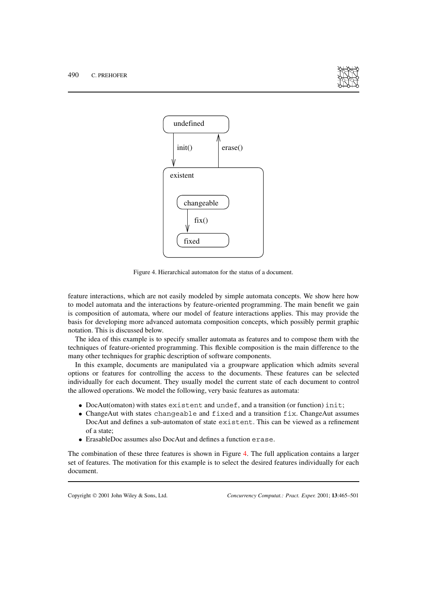

<span id="page-25-0"></span>

Figure 4. Hierarchical automaton for the status of a document.

feature interactions, which are not easily modeled by simple automata concepts. We show here how to model automata and the interactions by feature-oriented programming. The main benefit we gain is composition of automata, where our model of feature interactions applies. This may provide the basis for developing more advanced automata composition concepts, which possibly permit graphic notation. This is discussed below.

The idea of this example is to specify smaller automata as features and to compose them with the techniques of feature-oriented programming. This flexible composition is the main difference to the many other techniques for graphic description of software components.

In this example, documents are manipulated via a groupware application which admits several options or features for controlling the access to the documents. These features can be selected individually for each document. They usually model the current state of each document to control the allowed operations. We model the following, very basic features as automata:

- DocAut(omaton) with states existent and undef, and a transition (or function) init;
- ChangeAut with states changeable and fixed and a transition fix. ChangeAut assumes DocAut and defines a sub-automaton of state existent. This can be viewed as a refinement of a state;
- ErasableDoc assumes also DocAut and defines a function erase.

The combination of these three features is shown in Figure [4.](#page-25-0) The full application contains a larger set of features. The motivation for this example is to select the desired features individually for each document.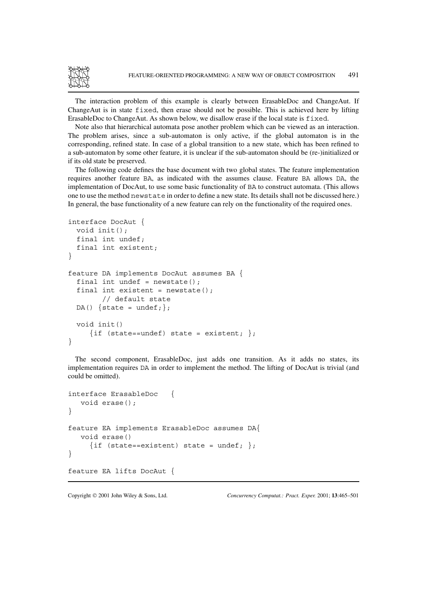The interaction problem of this example is clearly between ErasableDoc and ChangeAut. If ChangeAut is in state fixed, then erase should not be possible. This is achieved here by lifting ErasableDoc to ChangeAut. As shown below, we disallow erase if the local state is fixed.

Note also that hierarchical automata pose another problem which can be viewed as an interaction. The problem arises, since a sub-automaton is only active, if the global automaton is in the corresponding, refined state. In case of a global transition to a new state, which has been refined to a sub-automaton by some other feature, it is unclear if the sub-automaton should be (re-)initialized or if its old state be preserved.

The following code defines the base document with two global states. The feature implementation requires another feature BA, as indicated with the assumes clause. Feature BA allows DA, the implementation of DocAut, to use some basic functionality of BA to construct automata. (This allows one to use the method newstate in order to define a new state. Its details shall not be discussed here.) In general, the base functionality of a new feature can rely on the functionality of the required ones.

```
interface DocAut {
 void init();
 final int undef;
 final int existent;
}
feature DA implements DocAut assumes BA {
  final int undef = newstate();
  final int existent = newstate();
        // default state
 DA() \{state = under; \}void init()
     {if (state==undef) state = existent; };
}
```
The second component, ErasableDoc, just adds one transition. As it adds no states, its implementation requires DA in order to implement the method. The lifting of DocAut is trivial (and could be omitted).

```
interface ErasableDoc {
  void erase();
}
feature EA implements ErasableDoc assumes DA{
  void erase()
     \{if (state == existent) state = under; \}}
feature EA lifts DocAut {
```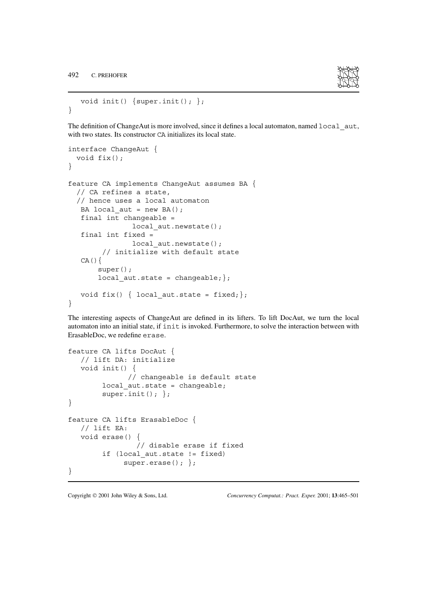

```
void init() {super.init(); };
}
```
The definition of ChangeAut is more involved, since it defines a local automaton, named local aut, with two states. Its constructor CA initializes its local state.

```
interface ChangeAut {
  void fix();
}
feature CA implements ChangeAut assumes BA {
  // CA refines a state,
  // hence uses a local automaton
  BA local aut = new BA();
   final int changeable =
               local aut.newstate();
   final int fixed =
               local_aut.newstate();
        // initialize with default state
   CA()super();
       local aut.state = changeable; \rbrace;
   void fix() { local aut.state = fixed; };
}
```
The interesting aspects of ChangeAut are defined in its lifters. To lift DocAut, we turn the local automaton into an initial state, if init is invoked. Furthermore, to solve the interaction between with ErasableDoc, we redefine erase.

```
feature CA lifts DocAut {
  // lift DA: initialize
  void init() {
              // changeable is default state
        local aut.state = changeable;
        super.int(); };
}
feature CA lifts ErasableDoc {
  // lift EA:
  void erase() {
                // disable erase if fixed
        if (local_aut.state != fixed)
             super.erase(); };
}
```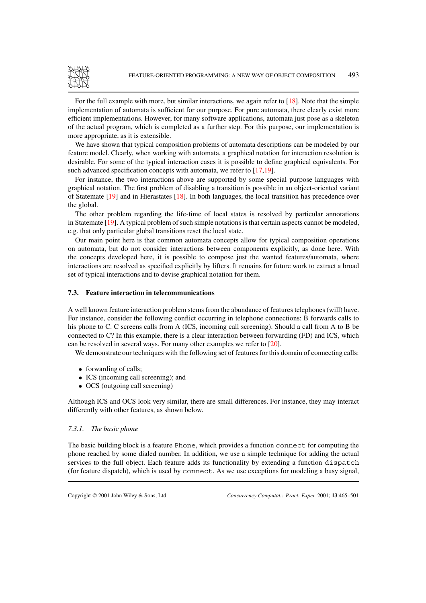

For the full example with more, but similar interactions, we again refer to [[18\]](#page-36-15). Note that the simple implementation of automata is sufficient for our purpose. For pure automata, there clearly exist more efficient implementations. However, for many software applications, automata just pose as a skeleton of the actual program, which is completed as a further step. For this purpose, our implementation is more appropriate, as it is extensible.

We have shown that typical composition problems of automata descriptions can be modeled by our feature model. Clearly, when working with automata, a graphical notation for interaction resolution is desirable. For some of the typical interaction cases it is possible to define graphical equivalents. For such advanced specification concepts with automata, we refer to [\[17](#page-36-16),[19\]](#page-36-17).

For instance, the two interactions above are supported by some special purpose languages with graphical notation. The first problem of disabling a transition is possible in an object-oriented variant of Statemate [[19\]](#page-36-17) and in Hierastates [\[18](#page-36-15)]. In both languages, the local transition has precedence over the global.

The other problem regarding the life-time of local states is resolved by particular annotations in Statemate [\[19](#page-36-17)]. A typical problem of such simple notations is that certain aspects cannot be modeled, e.g. that only particular global transitions reset the local state.

Our main point here is that common automata concepts allow for typical composition operations on automata, but do not consider interactions between components explicitly, as done here. With the concepts developed here, it is possible to compose just the wanted features/automata, where interactions are resolved as specified explicitly by lifters. It remains for future work to extract a broad set of typical interactions and to devise graphical notation for them.

## <span id="page-28-0"></span>**7.3. Feature interaction in telecommunications**

A well known feature interaction problem stems from the abundance of features telephones (will) have. For instance, consider the following conflict occurring in telephone connections: B forwards calls to his phone to C. C screens calls from A (ICS, incoming call screening). Should a call from A to B be connected to C? In this example, there is a clear interaction between forwarding (FD) and ICS, which can be resolved in several ways. For many other examples we refer to [[20\]](#page-36-18).

We demonstrate our techniques with the following set of features for this domain of connecting calls:

- forwarding of calls;
- ICS (incoming call screening); and
- OCS (outgoing call screening)

Although ICS and OCS look very similar, there are small differences. For instance, they may interact differently with other features, as shown below.

### *7.3.1. The basic phone*

The basic building block is a feature Phone, which provides a function connect for computing the phone reached by some dialed number. In addition, we use a simple technique for adding the actual services to the full object. Each feature adds its functionality by extending a function dispatch (for feature dispatch), which is used by connect. As we use exceptions for modeling a busy signal,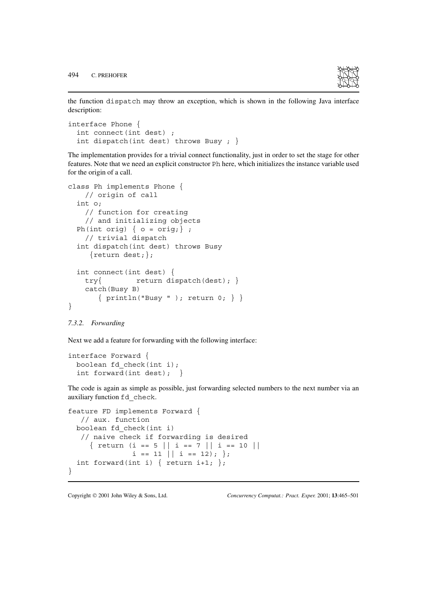

the function dispatch may throw an exception, which is shown in the following Java interface description:

```
interface Phone {
  int connect(int dest) ;
  int dispatch(int dest) throws Busy ; }
```
The implementation provides for a trivial connect functionality, just in order to set the stage for other features. Note that we need an explicit constructor Ph here, which initializes the instance variable used for the origin of a call.

```
class Ph implements Phone {
    // origin of call
 int o;
    // function for creating
    // and initializing objects
 Ph(int orig) \{ o = origin \};
    // trivial dispatch
  int dispatch(int dest) throws Busy
     \{return dest\};int connect(int dest) {
    try{ return dispatch(dest); }
   catch(Busy B)
       { \; println("Busy " ) ; return 0; } \}}
```
*7.3.2. Forwarding*

Next we add a feature for forwarding with the following interface:

```
interface Forward {
 boolean fd check(int i);
 int forward(int dest); }
```
The code is again as simple as possible, just forwarding selected numbers to the next number via an auxiliary function fd\_check.

```
feature FD implements Forward {
  // aux. function
 boolean fd_check(int i)
  // naive check if forwarding is desired
     \{ return (i == 5 || i == 7 || i == 10 ||
               i == 11 || i == 12); };
  int forward(int i) { return i+1; };
}
```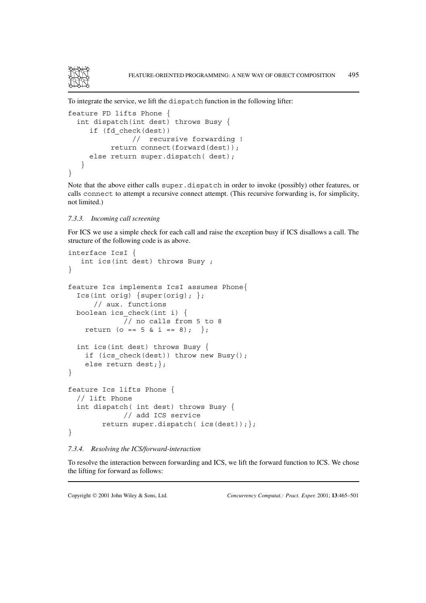

To integrate the service, we lift the dispatch function in the following lifter:

```
feature FD lifts Phone {
  int dispatch(int dest) throws Busy {
     if (fd_check(dest))
               // recursive forwarding !
          return connect(forward(dest));
     else return super.dispatch( dest);
   }
}
```
Note that the above either calls super.dispatch in order to invoke (possibly) other features, or calls connect to attempt a recursive connect attempt. (This recursive forwarding is, for simplicity, not limited.)

*7.3.3. Incoming call screening*

For ICS we use a simple check for each call and raise the exception busy if ICS disallows a call. The structure of the following code is as above.

```
interface IcsI {
   int ics(int dest) throws Busy ;
}
feature Ics implements IcsI assumes Phone{
  Ics(int orig) {super(orig); };
      // aux. functions
 boolean ics check(int i) {
             // no calls from 5 to 8
    return (o == 5 & i == 8); };
  int ics(int dest) throws Busy {
    if (ics check(dest)) throw new Busy();
    else return dest;};
}
feature Ics lifts Phone {
  // lift Phone
  int dispatch( int dest) throws Busy {
             // add ICS service
        return super.dispatch( ics(dest));};
}
```
*7.3.4. Resolving the ICS/forward-interaction*

To resolve the interaction between forwarding and ICS, we lift the forward function to ICS. We chose the lifting for forward as follows: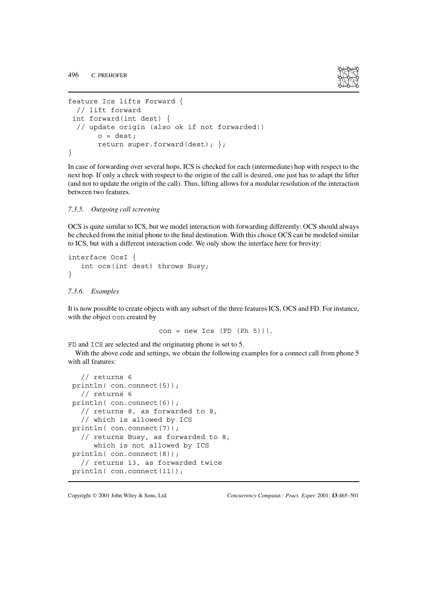

```
feature Ics lifts Forward {
 // lift forward
 int forward(int dest) {
  // update origin (also ok if not forwarded!)
       o = dest;return super.forward(dest); \};
}
```
In case of forwarding over several hops, ICS is checked for each (intermediate) hop with respect to the next hop. If only a check with respect to the origin of the call is desired, one just has to adapt the lifter (and not to update the origin of the call). Thus, lifting allows for a modular resolution of the interaction between two features.

## *7.3.5. Outgoing call screening*

OCS is quite similar to ICS, but we model interaction with forwarding differently: OCS should always be checked from the initial phone to the final destination. With this choice OCS can be modeled similar to ICS, but with a different interaction code. We only show the interface here for brevity:

```
interface OcsI {
   int ocs(int dest) throws Busy;
}
```
*7.3.6. Examples*

It is now possible to create objects with any subset of the three features ICS, OCS and FD. For instance, with the object con created by

con = new Ics (FD (Ph 5)))*,*

FD and ICS are selected and the originating phone is set to 5.

With the above code and settings, we obtain the following examples for a connect call from phone 5 with all features:

```
// returns 6
println( con.connect(5));
  // returns 6
println( con.connect(6));
  // returns 8, as forwarded to 8,
  // which is allowed by ICS
println( con.connect(7));
  // returns Busy, as forwarded to 8,
     which is not allowed by ICS
println( con.connect(8));
  // returns 13, as forwarded twice
println( con.connect(11));
```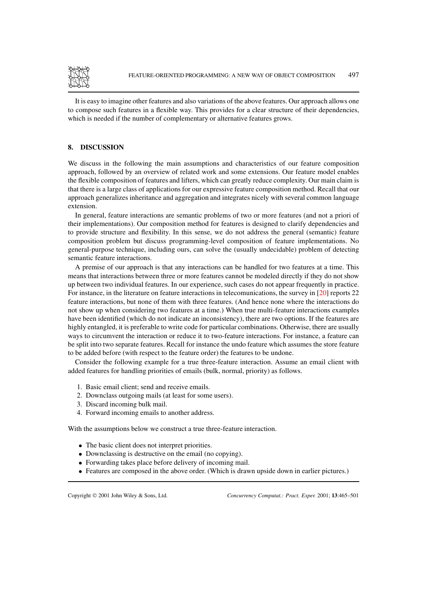

It is easy to imagine other features and also variations of the above features. Our approach allows one to compose such features in a flexible way. This provides for a clear structure of their dependencies, which is needed if the number of complementary or alternative features grows.

## <span id="page-32-0"></span>**8. DISCUSSION**

We discuss in the following the main assumptions and characteristics of our feature composition approach, followed by an overview of related work and some extensions. Our feature model enables the flexible composition of features and lifters, which can greatly reduce complexity. Our main claim is that there is a large class of applications for our expressive feature composition method. Recall that our approach generalizes inheritance and aggregation and integrates nicely with several common language extension.

In general, feature interactions are semantic problems of two or more features (and not a priori of their implementations). Our composition method for features is designed to clarify dependencies and to provide structure and flexibility. In this sense, we do not address the general (semantic) feature composition problem but discuss programming-level composition of feature implementations. No general-purpose technique, including ours, can solve the (usually undecidable) problem of detecting semantic feature interactions.

A premise of our approach is that any interactions can be handled for two features at a time. This means that interactions between three or more features cannot be modeled directly if they do not show up between two individual features. In our experience, such cases do not appear frequently in practice. For instance, in the literature on feature interactions in telecomunications, the survey in [[20\]](#page-36-18) reports 22 feature interactions, but none of them with three features. (And hence none where the interactions do not show up when considering two features at a time.) When true multi-feature interactions examples have been identified (which do not indicate an inconsistency), there are two options. If the features are highly entangled, it is preferable to write code for particular combinations. Otherwise, there are usually ways to circumvent the interaction or reduce it to two-feature interactions. For instance, a feature can be split into two separate features. Recall for instance the undo feature which assumes the store feature to be added before (with respect to the feature order) the features to be undone.

Consider the following example for a true three-feature interaction. Assume an email client with added features for handling priorities of emails (bulk, normal, priority) as follows.

- 1. Basic email client; send and receive emails.
- 2. Downclass outgoing mails (at least for some users).
- 3. Discard incoming bulk mail.
- 4. Forward incoming emails to another address.

With the assumptions below we construct a true three-feature interaction.

- The basic client does not interpret priorities.
- Downclassing is destructive on the email (no copying).
- Forwarding takes place before delivery of incoming mail.
- Features are composed in the above order. (Which is drawn upside down in earlier pictures.)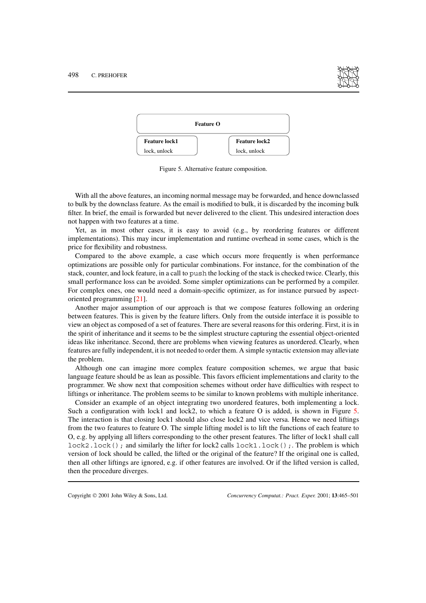

<span id="page-33-0"></span>

Figure 5. Alternative feature composition.

With all the above features, an incoming normal message may be forwarded, and hence downclassed to bulk by the downclass feature. As the email is modified to bulk, it is discarded by the incoming bulk filter. In brief, the email is forwarded but never delivered to the client. This undesired interaction does not happen with two features at a time.

Yet, as in most other cases, it is easy to avoid (e.g., by reordering features or different implementations). This may incur implementation and runtime overhead in some cases, which is the price for flexibility and robustness.

Compared to the above example, a case which occurs more frequently is when performance optimizations are possible only for particular combinations. For instance, for the combination of the stack, counter, and lock feature, in a call to push the locking of the stack is checked twice. Clearly, this small performance loss can be avoided. Some simpler optimizations can be performed by a compiler. For complex ones, one would need a domain-specific optimizer, as for instance pursued by aspectoriented programming [\[21](#page-36-19)].

Another major assumption of our approach is that we compose features following an ordering between features. This is given by the feature lifters. Only from the outside interface it is possible to view an object as composed of a set of features. There are several reasons for this ordering. First, it is in the spirit of inheritance and it seems to be the simplest structure capturing the essential object-oriented ideas like inheritance. Second, there are problems when viewing features as unordered. Clearly, when features are fully independent, it is not needed to order them. A simple syntactic extension may alleviate the problem.

Although one can imagine more complex feature composition schemes, we argue that basic language feature should be as lean as possible. This favors efficient implementations and clarity to the programmer. We show next that composition schemes without order have difficulties with respect to liftings or inheritance. The problem seems to be similar to known problems with multiple inheritance.

Consider an example of an object integrating two unordered features, both implementing a lock. Such a configuration with lock1 and lock2, to which a feature O is added, is shown in Figure [5.](#page-33-0) The interaction is that closing lock1 should also close lock2 and vice versa. Hence we need liftings from the two features to feature O. The simple lifting model is to lift the functions of each feature to O, e.g. by applying all lifters corresponding to the other present features. The lifter of lock1 shall call lock2.lock(); and similarly the lifter for lock2 calls lock1.lock(); The problem is which version of lock should be called, the lifted or the original of the feature? If the original one is called, then all other liftings are ignored, e.g. if other features are involved. Or if the lifted version is called, then the procedure diverges.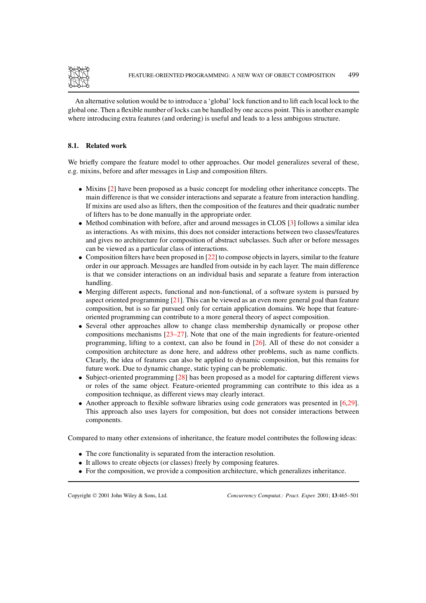

An alternative solution would be to introduce a 'global' lock function and to lift each local lock to the global one. Then a flexible number of locks can be handled by one access point. This is another example where introducing extra features (and ordering) is useful and leads to a less ambigous structure.

# **8.1. Related work**

We briefly compare the feature model to other approaches. Our model generalizes several of these, e.g. mixins, before and after messages in Lisp and composition filters.

- Mixins [\[2\]](#page-36-0) have been proposed as a basic concept for modeling other inheritance concepts. The main difference is that we consider interactions and separate a feature from interaction handling. If mixins are used also as lifters, then the composition of the features and their quadratic number of lifters has to be done manually in the appropriate order.
- Method combination with before, after and around messages in CLOS [\[3](#page-36-2)] follows a similar idea as interactions. As with mixins, this does not consider interactions between two classes/features and gives no architecture for composition of abstract subclasses. Such after or before messages can be viewed as a particular class of interactions.
- Composition filters have been proposed in [\[22](#page-36-21)] to compose objects in layers, similar to the feature order in our approach. Messages are handled from outside in by each layer. The main difference is that we consider interactions on an individual basis and separate a feature from interaction handling.
- Merging different aspects, functional and non-functional, of a software system is pursued by aspect oriented programming [[21\]](#page-36-19). This can be viewed as an even more general goal than feature composition, but is so far pursued only for certain application domains. We hope that featureoriented programming can contribute to a more general theory of aspect composition.
- Several other approaches allow to change class membership dynamically or propose other compositions mechanisms  $[23-27]$ . Note that one of the main ingredients for feature-oriented programming, lifting to a context, can also be found in [\[26\]](#page-36-23). All of these do not consider a composition architecture as done here, and address other problems, such as name conflicts. Clearly, the idea of features can also be applied to dynamic composition, but this remains for future work. Due to dynamic change, static typing can be problematic.
- Subject-oriented programming [[28\]](#page-36-20) has been proposed as a model for capturing different views or roles of the same object. Feature-oriented programming can contribute to this idea as a composition technique, as different views may clearly interact.
- Another approach to flexible software libraries using code generators was presented in [\[6](#page-36-4),[29\]](#page-36-24). This approach also uses layers for composition, but does not consider interactions between components.

Compared to many other extensions of inheritance, the feature model contributes the following ideas:

- The core functionality is separated from the interaction resolution.
- It allows to create objects (or classes) freely by composing features.
- For the composition, we provide a composition architecture, which generalizes inheritance.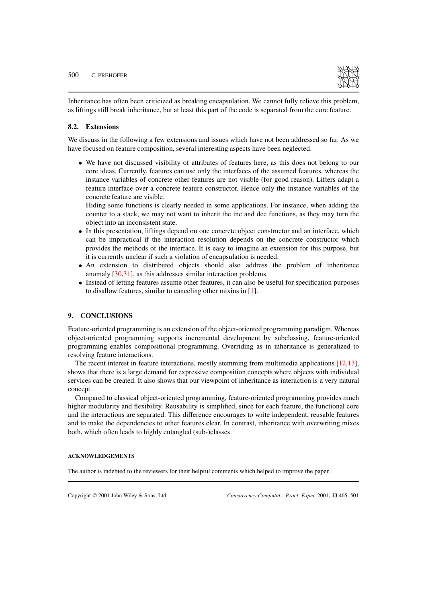

Inheritance has often been criticized as breaking encapsulation. We cannot fully relieve this problem, as liftings still break inheritance, but at least this part of the code is separated from the core feature.

### **8.2. Extensions**

We discuss in the following a few extensions and issues which have not been addressed so far. As we have focused on feature composition, several interesting aspects have been neglected.

• We have not discussed visibility of attributes of features here, as this does not belong to our core ideas. Currently, features can use only the interfaces of the assumed features, whereas the instance variables of concrete other features are not visible (for good reason). Lifters adapt a feature interface over a concrete feature constructor. Hence only the instance variables of the concrete feature are visible.

Hiding some functions is clearly needed in some applications. For instance, when adding the counter to a stack, we may not want to inherit the inc and dec functions, as they may turn the object into an inconsistent state.

- In this presentation, liftings depend on one concrete object constructor and an interface, which can be impractical if the interaction resolution depends on the concrete constructor which provides the methods of the interface. It is easy to imagine an extension for this purpose, but it is currently unclear if such a violation of encapsulation is needed.
- An extension to distributed objects should also address the problem of inheritance anomaly [[30](#page-36-25)[,31\]](#page-36-26), as this addresses similar interaction problems.
- Instead of letting features assume other features, it can also be useful for specification purposes to disallow features, similar to canceling other mixins in [[1\]](#page-36-3).

#### **9. CONCLUSIONS**

Feature-oriented programming is an extension of the object-oriented programming paradigm. Whereas object-oriented programming supports incremental development by subclassing, feature-oriented programming enables compositional programming. Overriding as in inheritance is generalized to resolving feature interactions.

The recent interest in feature interactions, mostly stemming from multimedia applications [\[12](#page-36-7),[13\]](#page-36-11), shows that there is a large demand for expressive composition concepts where objects with individual services can be created. It also shows that our viewpoint of inheritance as interaction is a very natural concept.

Compared to classical object-oriented programming, feature-oriented programming provides much higher modularity and flexibility. Reusability is simplified, since for each feature, the functional core and the interactions are separated. This difference encourages to write independent, reusable features and to make the dependencies to other features clear. In contrast, inheritance with overwriting mixes both, which often leads to highly entangled (sub-)classes.

#### **ACKNOWLEDGEMENTS**

The author is indebted to the reviewers for their helpful comments which helped to improve the paper.